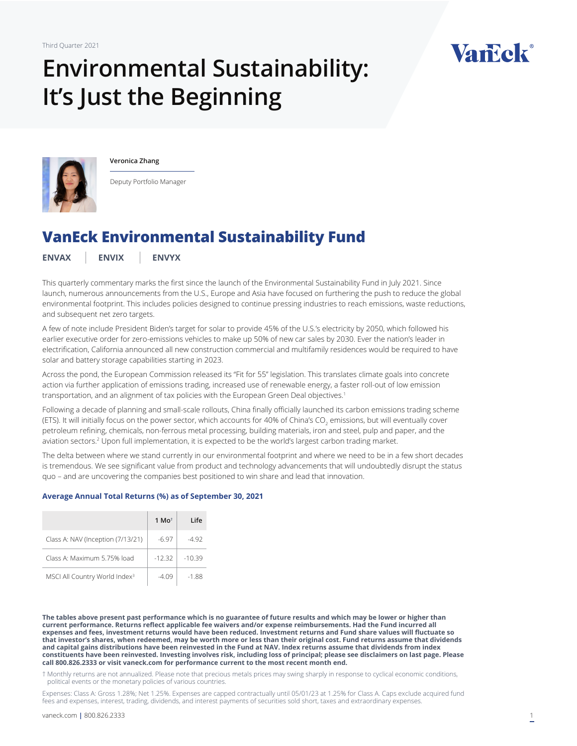# **Environmental Sustainability: It's Just the Beginning**





**Veronica Zhang**

Deputy Portfolio Manager

## **VanEck Environmental Sustainability Fund**

**[ENVAX](https://www.vaneck.com/us/en/investments/environmental-sustainability-fund-envax/) [ENVIX](https://www.vaneck.com/us/en/investments/environmental-sustainability-fund-envix/) [ENVYX](https://www.vaneck.com/us/en/investments/environmental-sustainability-fund-envyx/)**

This quarterly commentary marks the first since the launch of the Environmental Sustainability Fund in July 2021. Since launch, numerous announcements from the U.S., Europe and Asia have focused on furthering the push to reduce the global environmental footprint. This includes policies designed to continue pressing industries to reach emissions, waste reductions, and subsequent net zero targets.

A few of note include President Biden's target for solar to provide 45% of the U.S.'s electricity by 2050, which followed his earlier executive order for zero-emissions vehicles to make up 50% of new car sales by 2030. Ever the nation's leader in electrification, California announced all new construction commercial and multifamily residences would be required to have solar and battery storage capabilities starting in 2023.

Across the pond, the European Commission released its "Fit for 55" legislation. This translates climate goals into concrete action via further application of emissions trading, increased use of renewable energy, a faster roll-out of low emission transportation, and an alignment of tax policies with the European Green Deal objectives.<sup>1</sup>

Following a decade of planning and small-scale rollouts, China finally officially launched its carbon emissions trading scheme (ETS). It will initially focus on the power sector, which accounts for 40% of China's CO<sub>2</sub> emissions, but will eventually cover petroleum refining, chemicals, non-ferrous metal processing, building materials, iron and steel, pulp and paper, and the aviation sectors.<sup>2</sup> Upon full implementation, it is expected to be the world's largest carbon trading market.

The delta between where we stand currently in our environmental footprint and where we need to be in a few short decades is tremendous. We see significant value from product and technology advancements that will undoubtedly disrupt the status quo – and are uncovering the companies best positioned to win share and lead that innovation.

#### **Average Annual Total Returns (%) as of September 30, 2021**

|                                           | 1 Mo <sup>t</sup> | Life     |
|-------------------------------------------|-------------------|----------|
| Class A: NAV (Inception (7/13/21)         | $-6.97$           | -4.92    |
| Class A: Maximum 5.75% load               | $-12.32$          | $-10.39$ |
| MSCI All Country World Index <sup>3</sup> | -4.09             | -1.88    |

**The tables above present past performance which is no guarantee of future results and which may be lower or higher than current performance. Returns reflect applicable fee waivers and/or expense reimbursements. Had the Fund incurred all expenses and fees, investment returns would have been reduced. Investment returns and Fund share values will fluctuate so that investor's shares, when redeemed, may be worth more or less than their original cost. Fund returns assume that dividends and capital gains distributions have been reinvested in the Fund at NAV. Index returns assume that dividends from index constituents have been reinvested. Investing involves risk, including loss of principal; please see disclaimers on last page. Please call 800.826.2333 or visit vaneck.com for performance current to the most recent month end.** 

† Monthly returns are not annualized. Please note that precious metals prices may swing sharply in response to cyclical economic conditions, political events or the monetary policies of various countries.

Expenses: Class A: Gross 1.28%; Net 1.25%. Expenses are capped contractually until 05/01/23 at 1.25% for Class A. Caps exclude acquired fund fees and expenses, interest, trading, dividends, and interest payments of securities sold short, taxes and extraordinary expenses.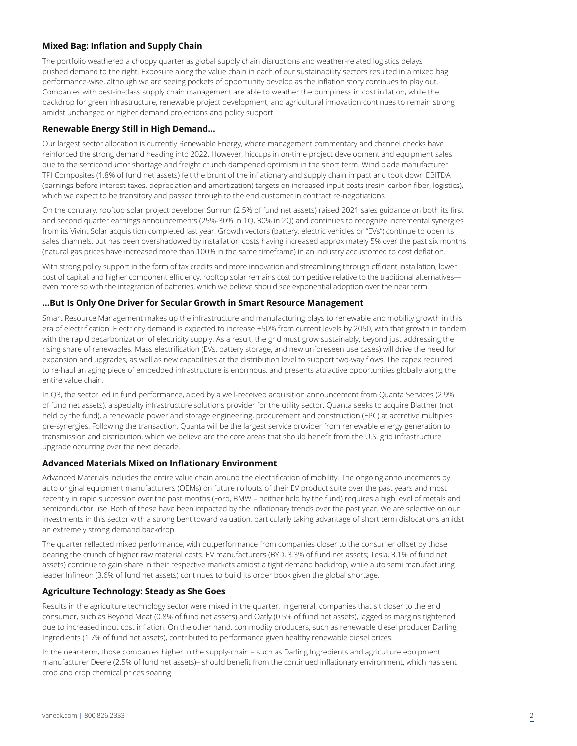### **Mixed Bag: Inflation and Supply Chain**

The portfolio weathered a choppy quarter as global supply chain disruptions and weather-related logistics delays pushed demand to the right. Exposure along the value chain in each of our sustainability sectors resulted in a mixed bag performance-wise, although we are seeing pockets of opportunity develop as the inflation story continues to play out. Companies with best-in-class supply chain management are able to weather the bumpiness in cost inflation, while the backdrop for green infrastructure, renewable project development, and agricultural innovation continues to remain strong amidst unchanged or higher demand projections and policy support.

#### **Renewable Energy Still in High Demand…**

Our largest sector allocation is currently Renewable Energy, where management commentary and channel checks have reinforced the strong demand heading into 2022. However, hiccups in on-time project development and equipment sales due to the semiconductor shortage and freight crunch dampened optimism in the short term. Wind blade manufacturer TPI Composites (1.8% of fund net assets) felt the brunt of the inflationary and supply chain impact and took down EBITDA (earnings before interest taxes, depreciation and amortization) targets on increased input costs (resin, carbon fiber, logistics), which we expect to be transitory and passed through to the end customer in contract re-negotiations.

On the contrary, rooftop solar project developer Sunrun (2.5% of fund net assets) raised 2021 sales guidance on both its first and second quarter earnings announcements (25%-30% in 1Q, 30% in 2Q) and continues to recognize incremental synergies from its Vivint Solar acquisition completed last year. Growth vectors (battery, electric vehicles or "EVs") continue to open its sales channels, but has been overshadowed by installation costs having increased approximately 5% over the past six months (natural gas prices have increased more than 100% in the same timeframe) in an industry accustomed to cost deflation.

With strong policy support in the form of tax credits and more innovation and streamlining through efficient installation, lower cost of capital, and higher component efficiency, rooftop solar remains cost competitive relative to the traditional alternativeseven more so with the integration of batteries, which we believe should see exponential adoption over the near term.

#### **…But Is Only One Driver for Secular Growth in Smart Resource Management**

Smart Resource Management makes up the infrastructure and manufacturing plays to renewable and mobility growth in this era of electrification. Electricity demand is expected to increase +50% from current levels by 2050, with that growth in tandem with the rapid decarbonization of electricity supply. As a result, the grid must grow sustainably, beyond just addressing the rising share of renewables. Mass electrification (EVs, battery storage, and new unforeseen use cases) will drive the need for expansion and upgrades, as well as new capabilities at the distribution level to support two-way flows. The capex required to re-haul an aging piece of embedded infrastructure is enormous, and presents attractive opportunities globally along the entire value chain.

In Q3, the sector led in fund performance, aided by a well-received acquisition announcement from Quanta Services (2.9% of fund net assets), a specialty infrastructure solutions provider for the utility sector. Quanta seeks to acquire Blattner (not held by the fund), a renewable power and storage engineering, procurement and construction (EPC) at accretive multiples pre-synergies. Following the transaction, Quanta will be the largest service provider from renewable energy generation to transmission and distribution, which we believe are the core areas that should benefit from the U.S. grid infrastructure upgrade occurring over the next decade.

#### **Advanced Materials Mixed on Inflationary Environment**

Advanced Materials includes the entire value chain around the electrification of mobility. The ongoing announcements by auto original equipment manufacturers (OEMs) on future rollouts of their EV product suite over the past years and most recently in rapid succession over the past months (Ford, BMW – neither held by the fund) requires a high level of metals and semiconductor use. Both of these have been impacted by the inflationary trends over the past year. We are selective on our investments in this sector with a strong bent toward valuation, particularly taking advantage of short term dislocations amidst an extremely strong demand backdrop.

The quarter reflected mixed performance, with outperformance from companies closer to the consumer offset by those bearing the crunch of higher raw material costs. EV manufacturers (BYD, 3.3% of fund net assets; Tesla, 3.1% of fund net assets) continue to gain share in their respective markets amidst a tight demand backdrop, while auto semi manufacturing leader Infineon (3.6% of fund net assets) continues to build its order book given the global shortage.

#### **Agriculture Technology: Steady as She Goes**

Results in the agriculture technology sector were mixed in the quarter. In general, companies that sit closer to the end consumer, such as Beyond Meat (0.8% of fund net assets) and Oatly (0.5% of fund net assets), lagged as margins tightened due to increased input cost inflation. On the other hand, commodity producers, such as renewable diesel producer Darling Ingredients (1.7% of fund net assets), contributed to performance given healthy renewable diesel prices.

In the near-term, those companies higher in the supply-chain – such as Darling Ingredients and agriculture equipment manufacturer Deere (2.5% of fund net assets)– should benefit from the continued inflationary environment, which has sent crop and crop chemical prices soaring.